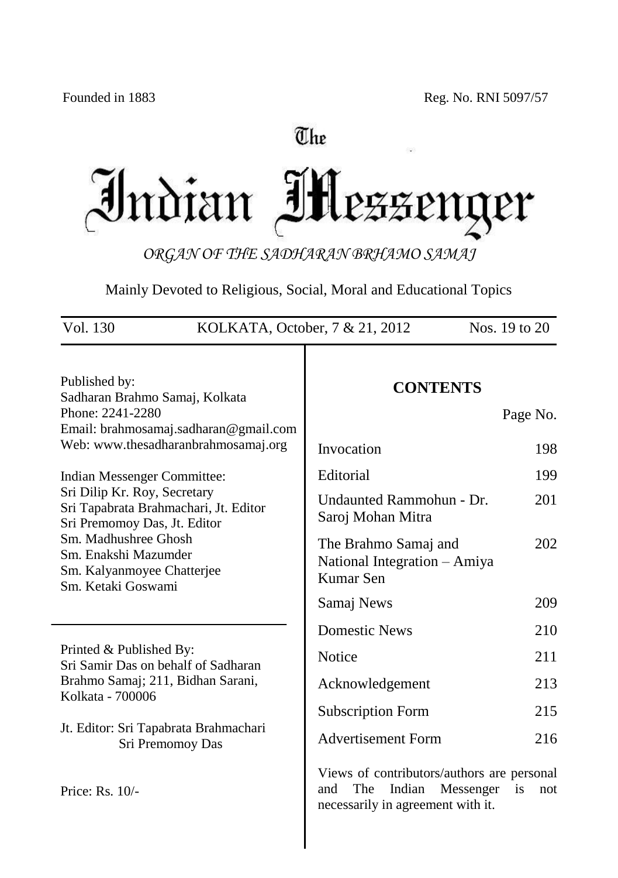# The

Indian Mezzeng er

*ORGAN OF THE SADHARAN BRHAMO SAMAJ*

Mainly Devoted to Religious, Social, Moral and Educational Topics

| Vol. 130<br>KOLKATA, October, 7 & 21, 2012                                                            | Nos. 19 to 20                                                                                                                            |
|-------------------------------------------------------------------------------------------------------|------------------------------------------------------------------------------------------------------------------------------------------|
| Published by:<br>Sadharan Brahmo Samaj, Kolkata                                                       | <b>CONTENTS</b>                                                                                                                          |
| Phone: 2241-2280                                                                                      | Page No.                                                                                                                                 |
| Email: brahmosamaj.sadharan@gmail.com<br>Web: www.thesadharanbrahmosamaj.org                          | Invocation<br>198                                                                                                                        |
| Indian Messenger Committee:                                                                           | Editorial<br>199                                                                                                                         |
| Sri Dilip Kr. Roy, Secretary<br>Sri Tapabrata Brahmachari, Jt. Editor<br>Sri Premomoy Das, Jt. Editor | Undaunted Rammohun - Dr.<br>201<br>Saroj Mohan Mitra                                                                                     |
| Sm. Madhushree Ghosh<br>Sm. Enakshi Mazumder<br>Sm. Kalyanmoyee Chatterjee<br>Sm. Ketaki Goswami      | 202<br>The Brahmo Samaj and<br>National Integration - Amiya<br>Kumar Sen                                                                 |
|                                                                                                       | Samaj News<br>209                                                                                                                        |
|                                                                                                       | <b>Domestic News</b><br>210                                                                                                              |
| Printed & Published By:<br>Sri Samir Das on behalf of Sadharan                                        | Notice<br>211                                                                                                                            |
| Brahmo Samaj; 211, Bidhan Sarani,                                                                     | 213<br>Acknowledgement                                                                                                                   |
| Kolkata - 700006                                                                                      | 215<br><b>Subscription Form</b>                                                                                                          |
| Jt. Editor: Sri Tapabrata Brahmachari<br>Sri Premomoy Das                                             | <b>Advertisement Form</b><br>216                                                                                                         |
| Price: Rs. 10/-                                                                                       | Views of contributors/authors are personal<br>The<br>Indian<br>Messenger<br>and<br><i>is</i><br>not<br>necessarily in agreement with it. |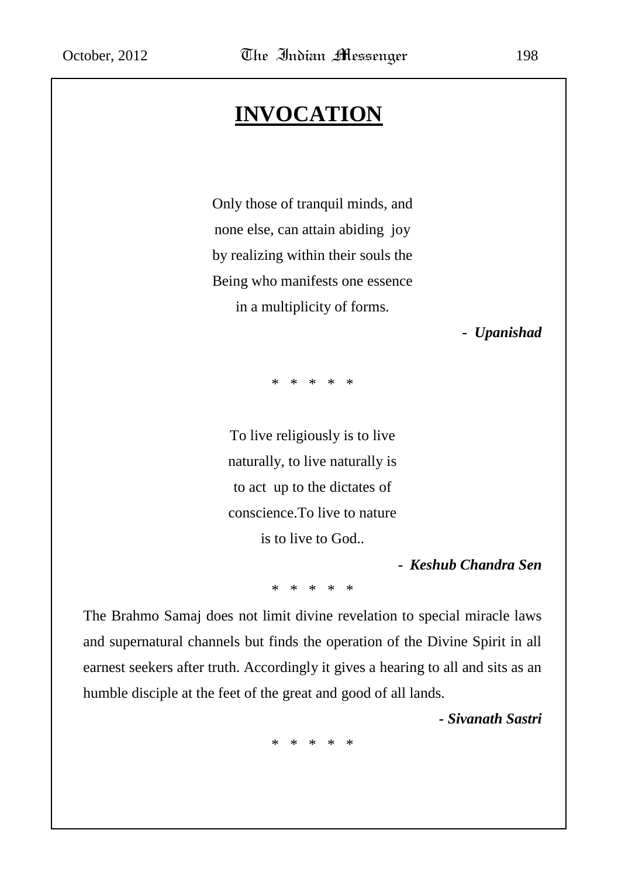# **INVOCATION**

Only those of tranquil minds, and none else, can attain abiding joy by realizing within their souls the Being who manifests one essence in a multiplicity of forms.

*- Upanishad*

\* \* \* \* \*

To live religiously is to live naturally, to live naturally is to act up to the dictates of conscience.To live to nature is to live to God..

*- Keshub Chandra Sen*

\* \* \* \* \*

The Brahmo Samaj does not limit divine revelation to special miracle laws and supernatural channels but finds the operation of the Divine Spirit in all earnest seekers after truth. Accordingly it gives a hearing to all and sits as an humble disciple at the feet of the great and good of all lands.

*- Sivanath Sastri*

\* \* \* \* \*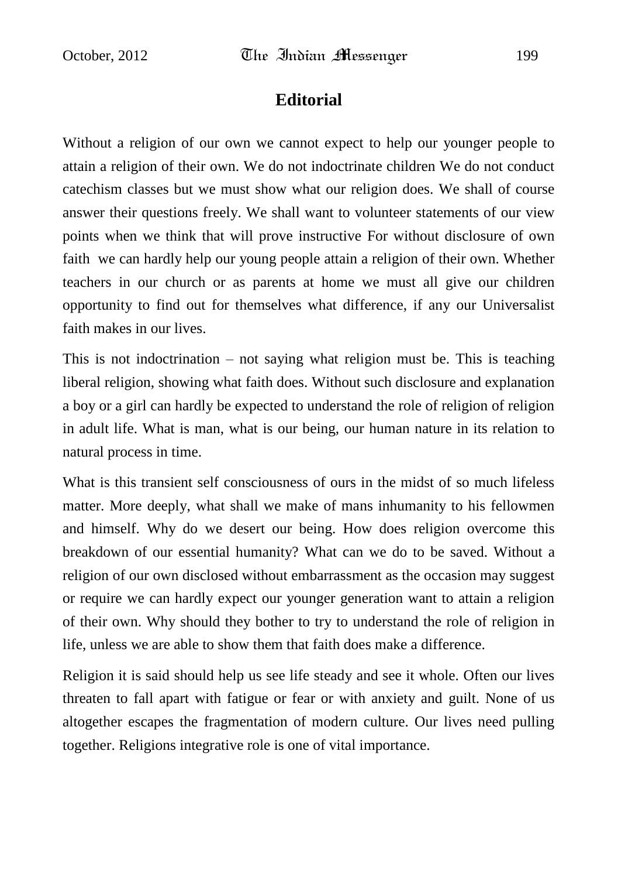# **Editorial**

Without a religion of our own we cannot expect to help our younger people to attain a religion of their own. We do not indoctrinate children We do not conduct catechism classes but we must show what our religion does. We shall of course answer their questions freely. We shall want to volunteer statements of our view points when we think that will prove instructive For without disclosure of own faith we can hardly help our young people attain a religion of their own. Whether teachers in our church or as parents at home we must all give our children opportunity to find out for themselves what difference, if any our Universalist faith makes in our lives.

This is not indoctrination – not saying what religion must be. This is teaching liberal religion, showing what faith does. Without such disclosure and explanation a boy or a girl can hardly be expected to understand the role of religion of religion in adult life. What is man, what is our being, our human nature in its relation to natural process in time.

What is this transient self consciousness of ours in the midst of so much lifeless matter. More deeply, what shall we make of mans inhumanity to his fellowmen and himself. Why do we desert our being. How does religion overcome this breakdown of our essential humanity? What can we do to be saved. Without a religion of our own disclosed without embarrassment as the occasion may suggest or require we can hardly expect our younger generation want to attain a religion of their own. Why should they bother to try to understand the role of religion in life, unless we are able to show them that faith does make a difference.

Religion it is said should help us see life steady and see it whole. Often our lives threaten to fall apart with fatigue or fear or with anxiety and guilt. None of us altogether escapes the fragmentation of modern culture. Our lives need pulling together. Religions integrative role is one of vital importance.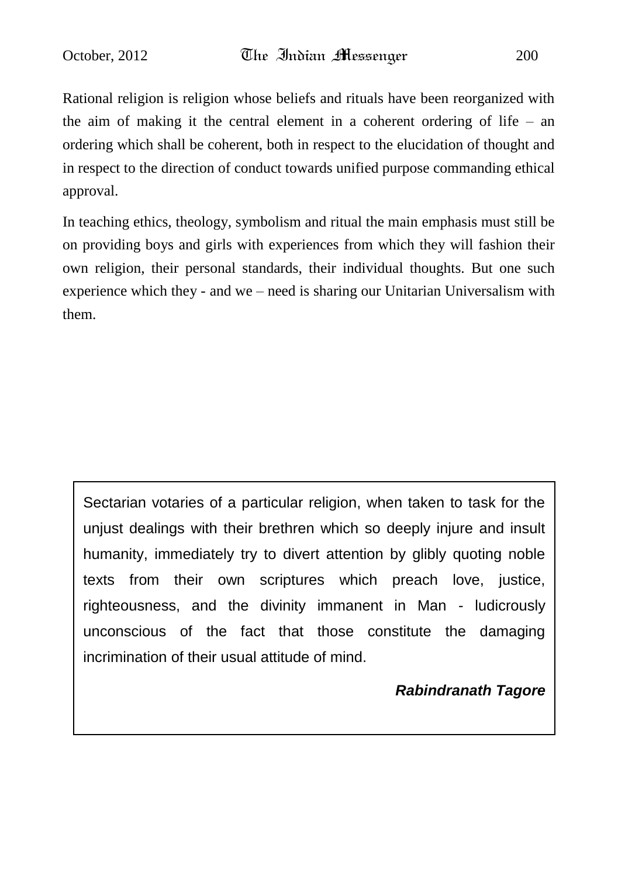Rational religion is religion whose beliefs and rituals have been reorganized with the aim of making it the central element in a coherent ordering of life – an ordering which shall be coherent, both in respect to the elucidation of thought and in respect to the direction of conduct towards unified purpose commanding ethical approval.

In teaching ethics, theology, symbolism and ritual the main emphasis must still be on providing boys and girls with experiences from which they will fashion their own religion, their personal standards, their individual thoughts. But one such experience which they - and we – need is sharing our Unitarian Universalism with them.

Sectarian votaries of a particular religion, when taken to task for the unjust dealings with their brethren which so deeply injure and insult humanity, immediately try to divert attention by glibly quoting noble texts from their own scriptures which preach love, justice, righteousness, and the divinity immanent in Man - ludicrously unconscious of the fact that those constitute the damaging incrimination of their usual attitude of mind.

## *Rabindranath Tagore*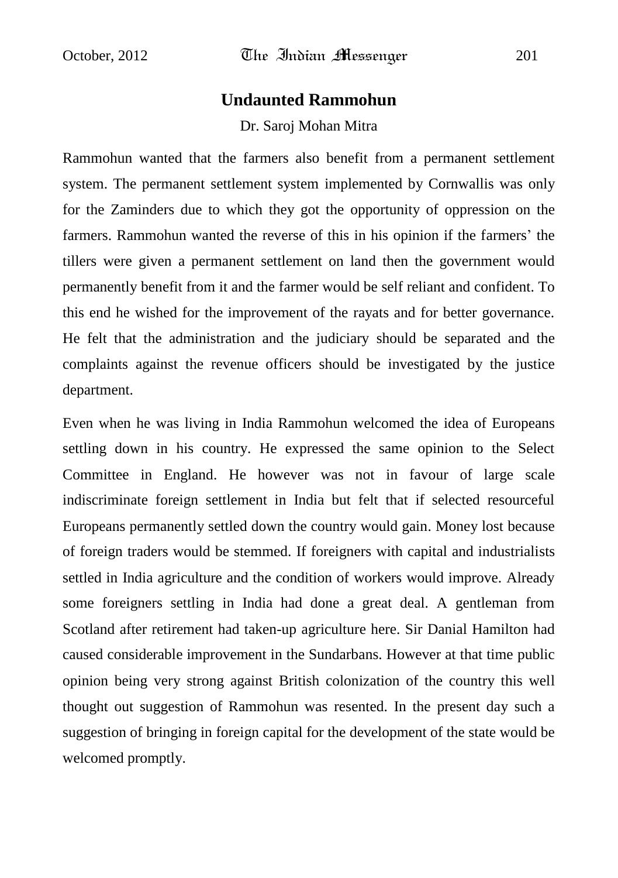## **Undaunted Rammohun**

#### Dr. Saroj Mohan Mitra

Rammohun wanted that the farmers also benefit from a permanent settlement system. The permanent settlement system implemented by Cornwallis was only for the Zaminders due to which they got the opportunity of oppression on the farmers. Rammohun wanted the reverse of this in his opinion if the farmers' the tillers were given a permanent settlement on land then the government would permanently benefit from it and the farmer would be self reliant and confident. To this end he wished for the improvement of the rayats and for better governance. He felt that the administration and the judiciary should be separated and the complaints against the revenue officers should be investigated by the justice department.

Even when he was living in India Rammohun welcomed the idea of Europeans settling down in his country. He expressed the same opinion to the Select Committee in England. He however was not in favour of large scale indiscriminate foreign settlement in India but felt that if selected resourceful Europeans permanently settled down the country would gain. Money lost because of foreign traders would be stemmed. If foreigners with capital and industrialists settled in India agriculture and the condition of workers would improve. Already some foreigners settling in India had done a great deal. A gentleman from Scotland after retirement had taken-up agriculture here. Sir Danial Hamilton had caused considerable improvement in the Sundarbans. However at that time public opinion being very strong against British colonization of the country this well thought out suggestion of Rammohun was resented. In the present day such a suggestion of bringing in foreign capital for the development of the state would be welcomed promptly.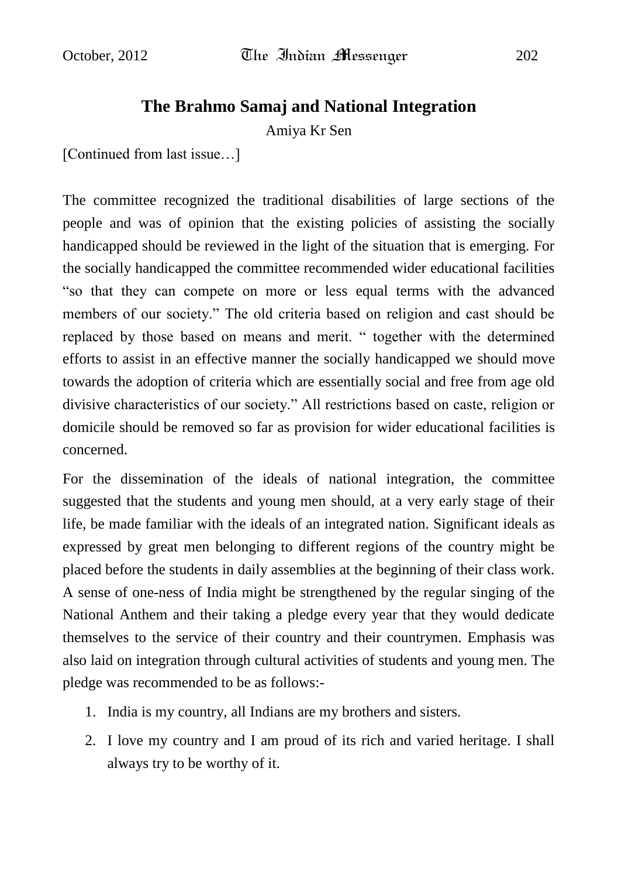# **The Brahmo Samaj and National Integration**

Amiya Kr Sen

[Continued from last issue…]

The committee recognized the traditional disabilities of large sections of the people and was of opinion that the existing policies of assisting the socially handicapped should be reviewed in the light of the situation that is emerging. For the socially handicapped the committee recommended wider educational facilities "so that they can compete on more or less equal terms with the advanced members of our society." The old criteria based on religion and cast should be replaced by those based on means and merit. " together with the determined efforts to assist in an effective manner the socially handicapped we should move towards the adoption of criteria which are essentially social and free from age old divisive characteristics of our society." All restrictions based on caste, religion or domicile should be removed so far as provision for wider educational facilities is concerned.

For the dissemination of the ideals of national integration, the committee suggested that the students and young men should, at a very early stage of their life, be made familiar with the ideals of an integrated nation. Significant ideals as expressed by great men belonging to different regions of the country might be placed before the students in daily assemblies at the beginning of their class work. A sense of one-ness of India might be strengthened by the regular singing of the National Anthem and their taking a pledge every year that they would dedicate themselves to the service of their country and their countrymen. Emphasis was also laid on integration through cultural activities of students and young men. The pledge was recommended to be as follows:-

- 1. India is my country, all Indians are my brothers and sisters.
- 2. I love my country and I am proud of its rich and varied heritage. I shall always try to be worthy of it.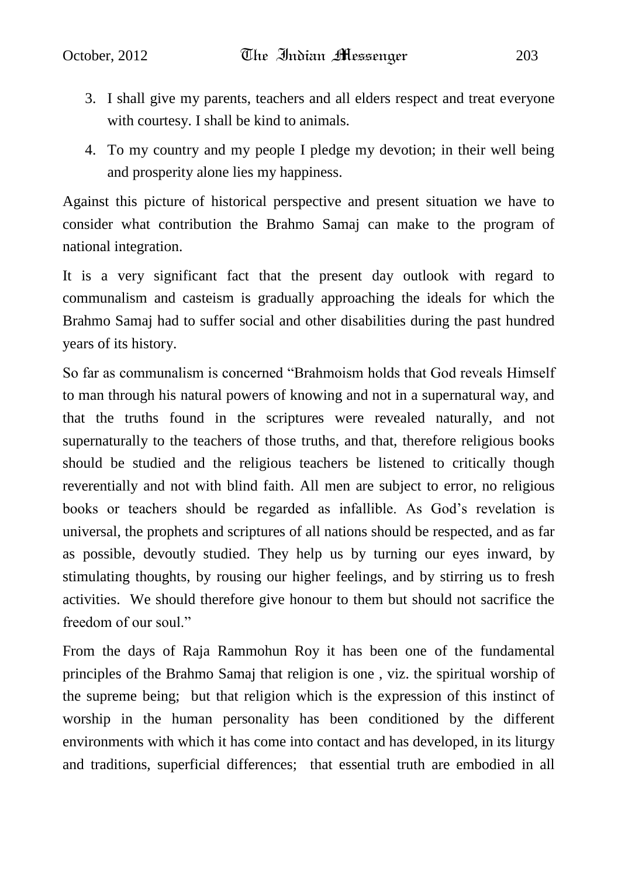- 3. I shall give my parents, teachers and all elders respect and treat everyone with courtesy. I shall be kind to animals.
- 4. To my country and my people I pledge my devotion; in their well being and prosperity alone lies my happiness.

Against this picture of historical perspective and present situation we have to consider what contribution the Brahmo Samaj can make to the program of national integration.

It is a very significant fact that the present day outlook with regard to communalism and casteism is gradually approaching the ideals for which the Brahmo Samaj had to suffer social and other disabilities during the past hundred years of its history.

So far as communalism is concerned "Brahmoism holds that God reveals Himself to man through his natural powers of knowing and not in a supernatural way, and that the truths found in the scriptures were revealed naturally, and not supernaturally to the teachers of those truths, and that, therefore religious books should be studied and the religious teachers be listened to critically though reverentially and not with blind faith. All men are subject to error, no religious books or teachers should be regarded as infallible. As God"s revelation is universal, the prophets and scriptures of all nations should be respected, and as far as possible, devoutly studied. They help us by turning our eyes inward, by stimulating thoughts, by rousing our higher feelings, and by stirring us to fresh activities. We should therefore give honour to them but should not sacrifice the freedom of our soul."

From the days of Raja Rammohun Roy it has been one of the fundamental principles of the Brahmo Samaj that religion is one , viz. the spiritual worship of the supreme being; but that religion which is the expression of this instinct of worship in the human personality has been conditioned by the different environments with which it has come into contact and has developed, in its liturgy and traditions, superficial differences; that essential truth are embodied in all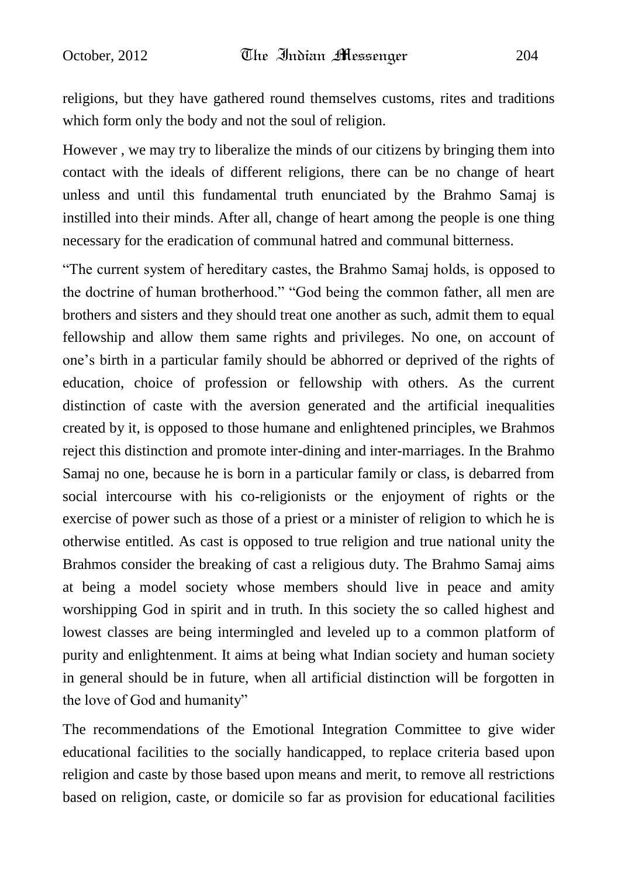religions, but they have gathered round themselves customs, rites and traditions which form only the body and not the soul of religion.

However , we may try to liberalize the minds of our citizens by bringing them into contact with the ideals of different religions, there can be no change of heart unless and until this fundamental truth enunciated by the Brahmo Samaj is instilled into their minds. After all, change of heart among the people is one thing necessary for the eradication of communal hatred and communal bitterness.

"The current system of hereditary castes, the Brahmo Samaj holds, is opposed to the doctrine of human brotherhood." "God being the common father, all men are brothers and sisters and they should treat one another as such, admit them to equal fellowship and allow them same rights and privileges. No one, on account of one"s birth in a particular family should be abhorred or deprived of the rights of education, choice of profession or fellowship with others. As the current distinction of caste with the aversion generated and the artificial inequalities created by it, is opposed to those humane and enlightened principles, we Brahmos reject this distinction and promote inter-dining and inter-marriages. In the Brahmo Samaj no one, because he is born in a particular family or class, is debarred from social intercourse with his co-religionists or the enjoyment of rights or the exercise of power such as those of a priest or a minister of religion to which he is otherwise entitled. As cast is opposed to true religion and true national unity the Brahmos consider the breaking of cast a religious duty. The Brahmo Samaj aims at being a model society whose members should live in peace and amity worshipping God in spirit and in truth. In this society the so called highest and lowest classes are being intermingled and leveled up to a common platform of purity and enlightenment. It aims at being what Indian society and human society in general should be in future, when all artificial distinction will be forgotten in the love of God and humanity"

The recommendations of the Emotional Integration Committee to give wider educational facilities to the socially handicapped, to replace criteria based upon religion and caste by those based upon means and merit, to remove all restrictions based on religion, caste, or domicile so far as provision for educational facilities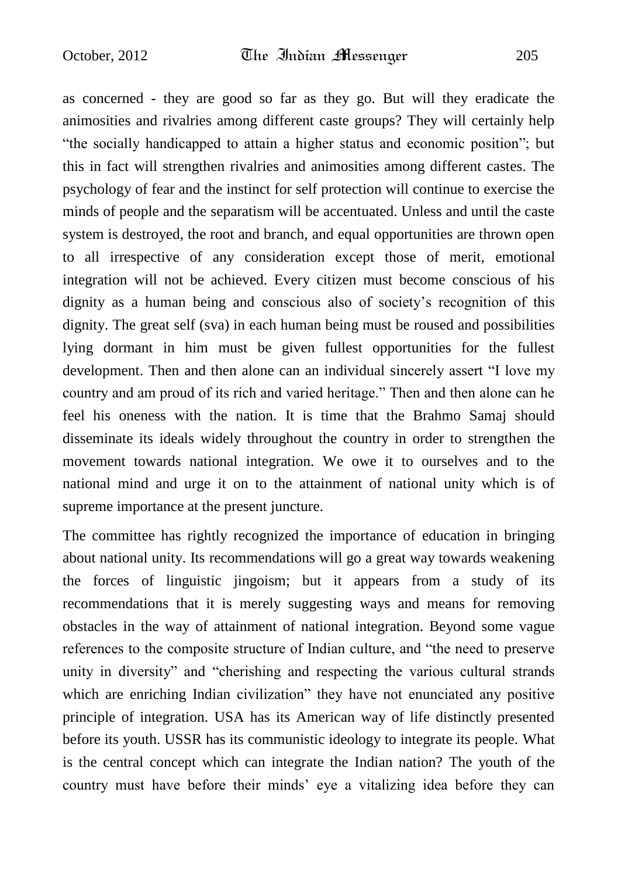as concerned - they are good so far as they go. But will they eradicate the animosities and rivalries among different caste groups? They will certainly help "the socially handicapped to attain a higher status and economic position"; but this in fact will strengthen rivalries and animosities among different castes. The psychology of fear and the instinct for self protection will continue to exercise the minds of people and the separatism will be accentuated. Unless and until the caste system is destroyed, the root and branch, and equal opportunities are thrown open to all irrespective of any consideration except those of merit, emotional integration will not be achieved. Every citizen must become conscious of his dignity as a human being and conscious also of society's recognition of this dignity. The great self (sva) in each human being must be roused and possibilities lying dormant in him must be given fullest opportunities for the fullest development. Then and then alone can an individual sincerely assert "I love my country and am proud of its rich and varied heritage." Then and then alone can he feel his oneness with the nation. It is time that the Brahmo Samaj should disseminate its ideals widely throughout the country in order to strengthen the movement towards national integration. We owe it to ourselves and to the national mind and urge it on to the attainment of national unity which is of supreme importance at the present juncture.

The committee has rightly recognized the importance of education in bringing about national unity. Its recommendations will go a great way towards weakening the forces of linguistic jingoism; but it appears from a study of its recommendations that it is merely suggesting ways and means for removing obstacles in the way of attainment of national integration. Beyond some vague references to the composite structure of Indian culture, and "the need to preserve unity in diversity" and "cherishing and respecting the various cultural strands which are enriching Indian civilization" they have not enunciated any positive principle of integration. USA has its American way of life distinctly presented before its youth. USSR has its communistic ideology to integrate its people. What is the central concept which can integrate the Indian nation? The youth of the country must have before their minds" eye a vitalizing idea before they can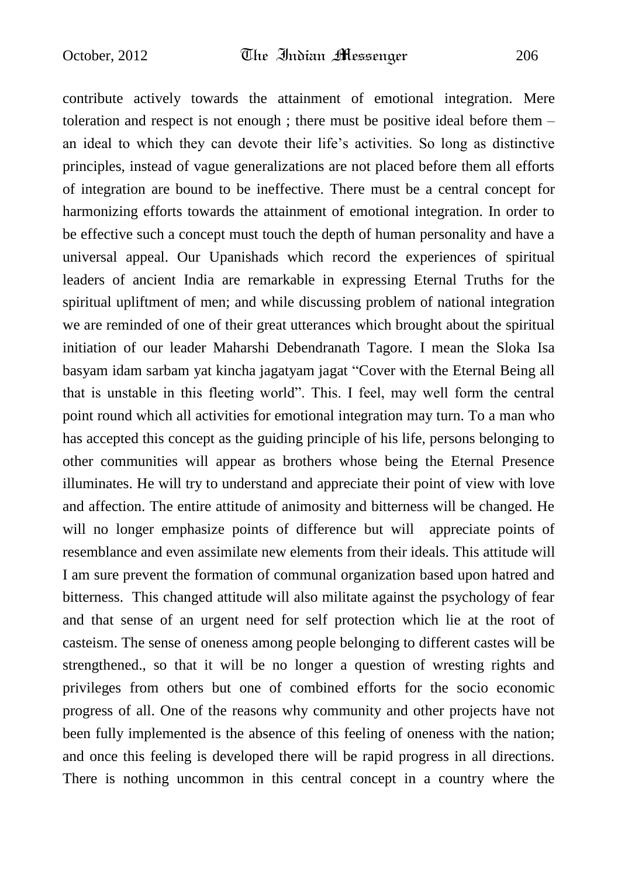contribute actively towards the attainment of emotional integration. Mere toleration and respect is not enough ; there must be positive ideal before them – an ideal to which they can devote their life"s activities. So long as distinctive principles, instead of vague generalizations are not placed before them all efforts of integration are bound to be ineffective. There must be a central concept for harmonizing efforts towards the attainment of emotional integration. In order to be effective such a concept must touch the depth of human personality and have a universal appeal. Our Upanishads which record the experiences of spiritual leaders of ancient India are remarkable in expressing Eternal Truths for the spiritual upliftment of men; and while discussing problem of national integration we are reminded of one of their great utterances which brought about the spiritual initiation of our leader Maharshi Debendranath Tagore. I mean the Sloka Isa basyam idam sarbam yat kincha jagatyam jagat "Cover with the Eternal Being all that is unstable in this fleeting world". This. I feel, may well form the central point round which all activities for emotional integration may turn. To a man who has accepted this concept as the guiding principle of his life, persons belonging to other communities will appear as brothers whose being the Eternal Presence illuminates. He will try to understand and appreciate their point of view with love and affection. The entire attitude of animosity and bitterness will be changed. He will no longer emphasize points of difference but will appreciate points of resemblance and even assimilate new elements from their ideals. This attitude will I am sure prevent the formation of communal organization based upon hatred and bitterness. This changed attitude will also militate against the psychology of fear and that sense of an urgent need for self protection which lie at the root of casteism. The sense of oneness among people belonging to different castes will be strengthened., so that it will be no longer a question of wresting rights and privileges from others but one of combined efforts for the socio economic progress of all. One of the reasons why community and other projects have not been fully implemented is the absence of this feeling of oneness with the nation; and once this feeling is developed there will be rapid progress in all directions. There is nothing uncommon in this central concept in a country where the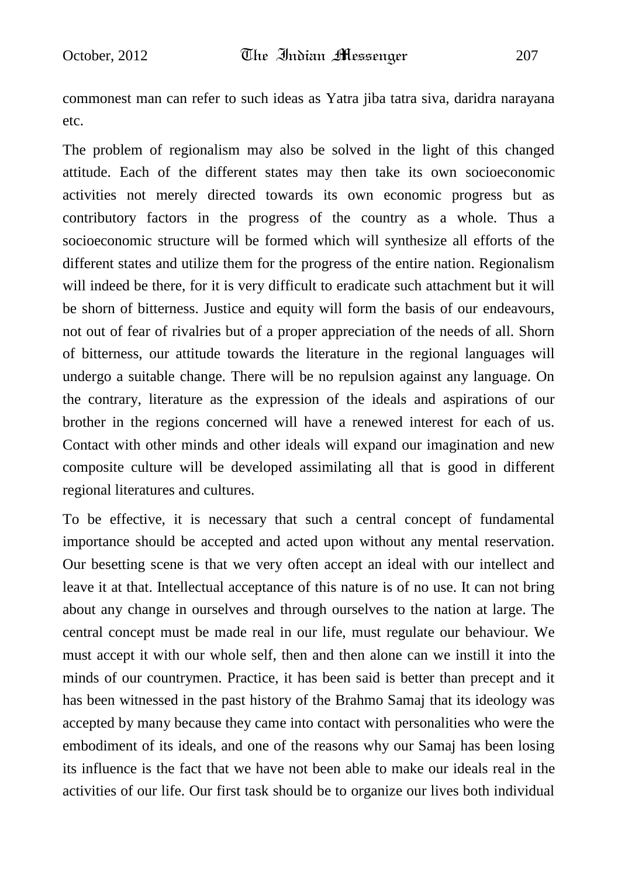commonest man can refer to such ideas as Yatra jiba tatra siva, daridra narayana etc.

The problem of regionalism may also be solved in the light of this changed attitude. Each of the different states may then take its own socioeconomic activities not merely directed towards its own economic progress but as contributory factors in the progress of the country as a whole. Thus a socioeconomic structure will be formed which will synthesize all efforts of the different states and utilize them for the progress of the entire nation. Regionalism will indeed be there, for it is very difficult to eradicate such attachment but it will be shorn of bitterness. Justice and equity will form the basis of our endeavours, not out of fear of rivalries but of a proper appreciation of the needs of all. Shorn of bitterness, our attitude towards the literature in the regional languages will undergo a suitable change. There will be no repulsion against any language. On the contrary, literature as the expression of the ideals and aspirations of our brother in the regions concerned will have a renewed interest for each of us. Contact with other minds and other ideals will expand our imagination and new composite culture will be developed assimilating all that is good in different regional literatures and cultures.

To be effective, it is necessary that such a central concept of fundamental importance should be accepted and acted upon without any mental reservation. Our besetting scene is that we very often accept an ideal with our intellect and leave it at that. Intellectual acceptance of this nature is of no use. It can not bring about any change in ourselves and through ourselves to the nation at large. The central concept must be made real in our life, must regulate our behaviour. We must accept it with our whole self, then and then alone can we instill it into the minds of our countrymen. Practice, it has been said is better than precept and it has been witnessed in the past history of the Brahmo Samaj that its ideology was accepted by many because they came into contact with personalities who were the embodiment of its ideals, and one of the reasons why our Samaj has been losing its influence is the fact that we have not been able to make our ideals real in the activities of our life. Our first task should be to organize our lives both individual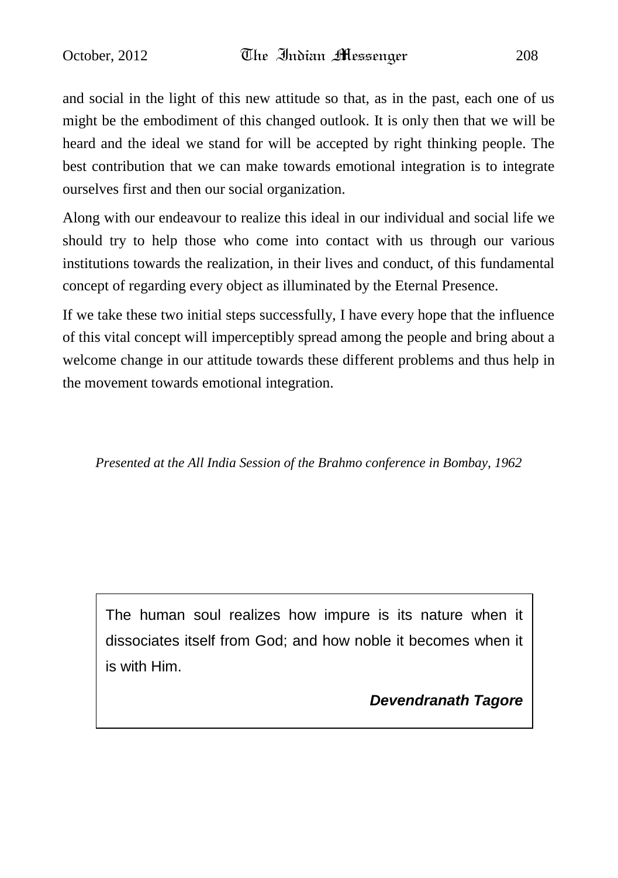and social in the light of this new attitude so that, as in the past, each one of us might be the embodiment of this changed outlook. It is only then that we will be heard and the ideal we stand for will be accepted by right thinking people. The best contribution that we can make towards emotional integration is to integrate ourselves first and then our social organization.

Along with our endeavour to realize this ideal in our individual and social life we should try to help those who come into contact with us through our various institutions towards the realization, in their lives and conduct, of this fundamental concept of regarding every object as illuminated by the Eternal Presence.

If we take these two initial steps successfully, I have every hope that the influence of this vital concept will imperceptibly spread among the people and bring about a welcome change in our attitude towards these different problems and thus help in the movement towards emotional integration.

*Presented at the All India Session of the Brahmo conference in Bombay, 1962*

The human soul realizes how impure is its nature when it dissociates itself from God; and how noble it becomes when it is with Him.

#### *Devendranath Tagore*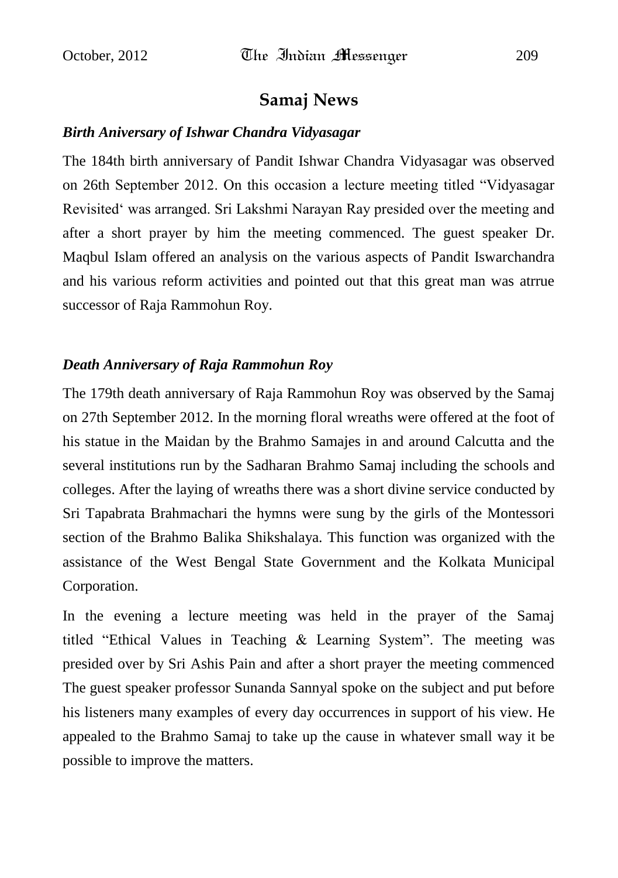# **Samaj News**

#### *Birth Aniversary of Ishwar Chandra Vidyasagar*

The 184th birth anniversary of Pandit Ishwar Chandra Vidyasagar was observed on 26th September 2012. On this occasion a lecture meeting titled "Vidyasagar Revisited" was arranged. Sri Lakshmi Narayan Ray presided over the meeting and after a short prayer by him the meeting commenced. The guest speaker Dr. Maqbul Islam offered an analysis on the various aspects of Pandit Iswarchandra and his various reform activities and pointed out that this great man was atrrue successor of Raja Rammohun Roy.

#### *Death Anniversary of Raja Rammohun Roy*

The 179th death anniversary of Raja Rammohun Roy was observed by the Samaj on 27th September 2012. In the morning floral wreaths were offered at the foot of his statue in the Maidan by the Brahmo Samajes in and around Calcutta and the several institutions run by the Sadharan Brahmo Samaj including the schools and colleges. After the laying of wreaths there was a short divine service conducted by Sri Tapabrata Brahmachari the hymns were sung by the girls of the Montessori section of the Brahmo Balika Shikshalaya. This function was organized with the assistance of the West Bengal State Government and the Kolkata Municipal Corporation.

In the evening a lecture meeting was held in the prayer of the Samaj titled "Ethical Values in Teaching & Learning System". The meeting was presided over by Sri Ashis Pain and after a short prayer the meeting commenced The guest speaker professor Sunanda Sannyal spoke on the subject and put before his listeners many examples of every day occurrences in support of his view. He appealed to the Brahmo Samaj to take up the cause in whatever small way it be possible to improve the matters.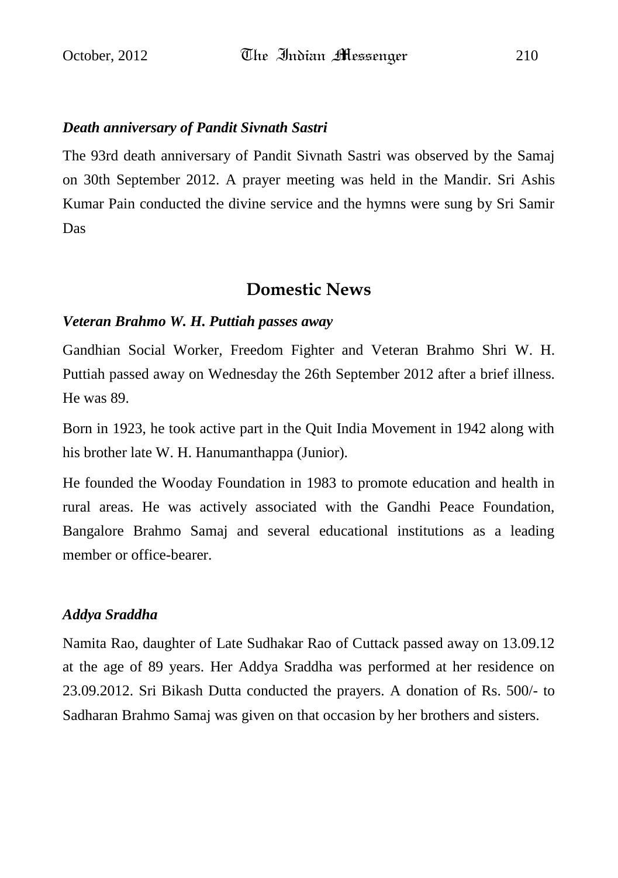#### *Death anniversary of Pandit Sivnath Sastri*

The 93rd death anniversary of Pandit Sivnath Sastri was observed by the Samaj on 30th September 2012. A prayer meeting was held in the Mandir. Sri Ashis Kumar Pain conducted the divine service and the hymns were sung by Sri Samir Das

# **Domestic News**

#### *Veteran Brahmo W. H. Puttiah passes away*

Gandhian Social Worker, Freedom Fighter and Veteran Brahmo Shri W. H. Puttiah passed away on Wednesday the 26th September 2012 after a brief illness. He was 89.

Born in 1923, he took active part in the Quit India Movement in 1942 along with his brother late W. H. Hanumanthappa (Junior).

He founded the Wooday Foundation in 1983 to promote education and health in rural areas. He was actively associated with the Gandhi Peace Foundation, Bangalore Brahmo Samaj and several educational institutions as a leading member or office-bearer.

#### *Addya Sraddha*

Namita Rao, daughter of Late Sudhakar Rao of Cuttack passed away on 13.09.12 at the age of 89 years. Her Addya Sraddha was performed at her residence on 23.09.2012. Sri Bikash Dutta conducted the prayers. A donation of Rs. 500/- to Sadharan Brahmo Samaj was given on that occasion by her brothers and sisters.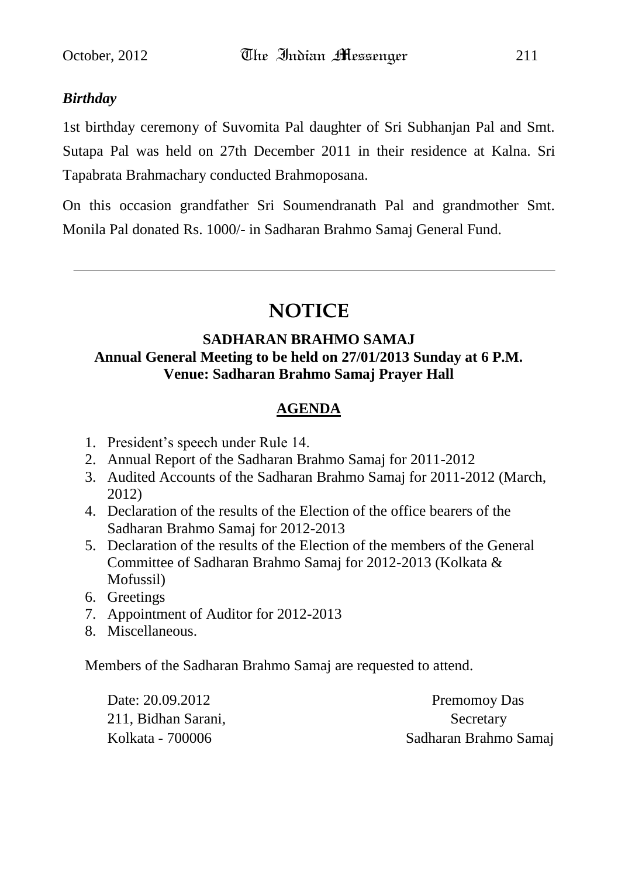#### *Birthday*

1st birthday ceremony of Suvomita Pal daughter of Sri Subhanjan Pal and Smt. Sutapa Pal was held on 27th December 2011 in their residence at Kalna. Sri Tapabrata Brahmachary conducted Brahmoposana.

On this occasion grandfather Sri Soumendranath Pal and grandmother Smt. Monila Pal donated Rs. 1000/- in Sadharan Brahmo Samaj General Fund.

# **NOTICE**

# **SADHARAN BRAHMO SAMAJ Annual General Meeting to be held on 27/01/2013 Sunday at 6 P.M. Venue: Sadharan Brahmo Samaj Prayer Hall**

## **AGENDA**

- 1. President"s speech under Rule 14.
- 2. Annual Report of the Sadharan Brahmo Samaj for 2011-2012
- 3. Audited Accounts of the Sadharan Brahmo Samaj for 2011-2012 (March, 2012)
- 4. Declaration of the results of the Election of the office bearers of the Sadharan Brahmo Samaj for 2012-2013
- 5. Declaration of the results of the Election of the members of the General Committee of Sadharan Brahmo Samaj for 2012-2013 (Kolkata & Mofussil)
- 6. Greetings
- 7. Appointment of Auditor for 2012-2013
- 8. Miscellaneous.

Members of the Sadharan Brahmo Samaj are requested to attend.

211, Bidhan Sarani, Secretary

Date: 20.09.2012 Premomoy Das Kolkata - 700006 Sadharan Brahmo Samaj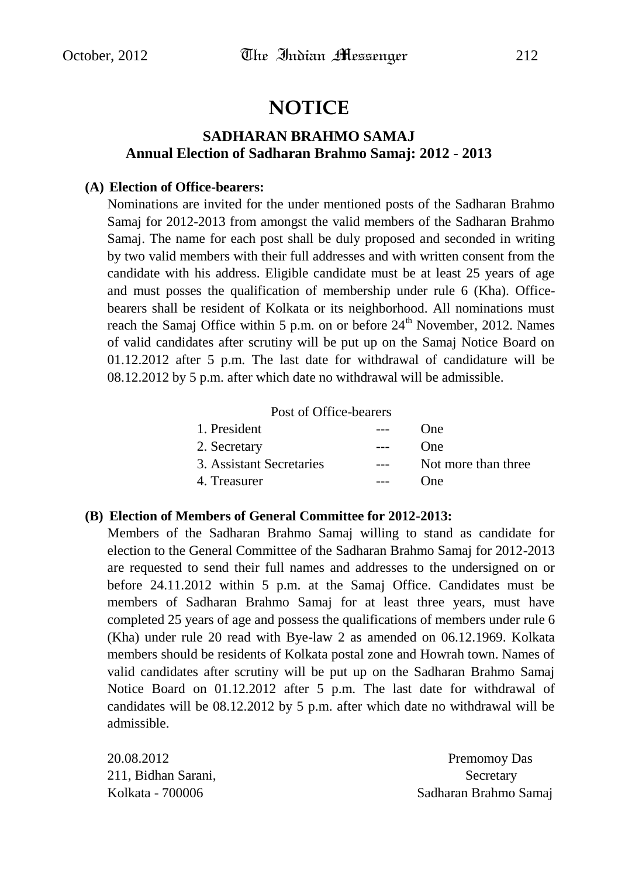# **NOTICE**

## **SADHARAN BRAHMO SAMAJ Annual Election of Sadharan Brahmo Samaj: 2012 - 2013**

#### **(A) Election of Office-bearers:**

Nominations are invited for the under mentioned posts of the Sadharan Brahmo Samaj for 2012-2013 from amongst the valid members of the Sadharan Brahmo Samaj. The name for each post shall be duly proposed and seconded in writing by two valid members with their full addresses and with written consent from the candidate with his address. Eligible candidate must be at least 25 years of age and must posses the qualification of membership under rule 6 (Kha). Officebearers shall be resident of Kolkata or its neighborhood. All nominations must reach the Samaj Office within 5 p.m. on or before  $24<sup>th</sup>$  November, 2012. Names of valid candidates after scrutiny will be put up on the Samaj Notice Board on 01.12.2012 after 5 p.m. The last date for withdrawal of candidature will be 08.12.2012 by 5 p.m. after which date no withdrawal will be admissible.

#### Post of Office-bearers

| 1. President             |       | One                 |
|--------------------------|-------|---------------------|
| 2. Secretary             |       | <b>One</b>          |
| 3. Assistant Secretaries | $---$ | Not more than three |
| 4. Treasurer             |       | One                 |

#### **(B) Election of Members of General Committee for 2012-2013:**

Members of the Sadharan Brahmo Samaj willing to stand as candidate for election to the General Committee of the Sadharan Brahmo Samaj for 2012-2013 are requested to send their full names and addresses to the undersigned on or before 24.11.2012 within 5 p.m. at the Samaj Office. Candidates must be members of Sadharan Brahmo Samaj for at least three years, must have completed 25 years of age and possess the qualifications of members under rule 6 (Kha) under rule 20 read with Bye-law 2 as amended on 06.12.1969. Kolkata members should be residents of Kolkata postal zone and Howrah town. Names of valid candidates after scrutiny will be put up on the Sadharan Brahmo Samaj Notice Board on 01.12.2012 after 5 p.m. The last date for withdrawal of candidates will be 08.12.2012 by 5 p.m. after which date no withdrawal will be admissible.

211, Bidhan Sarani, Secretary Secretary

20.08.2012 Premomoy Das Kolkata - 700006 Sadharan Brahmo Samaj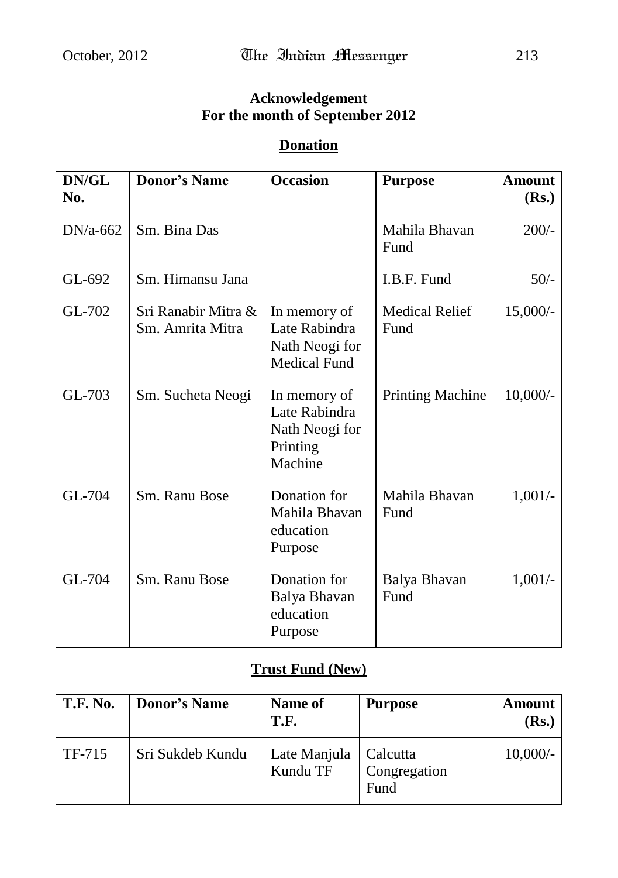# **Acknowledgement For the month of September 2012**

# **Donation**

| DN/GL<br>No. | <b>Donor's Name</b>                     | <b>Occasion</b>                                                        | <b>Purpose</b>                | <b>Amount</b><br>(Rs.) |
|--------------|-----------------------------------------|------------------------------------------------------------------------|-------------------------------|------------------------|
| $DN/a-662$   | Sm. Bina Das                            |                                                                        | Mahila Bhavan<br>Fund         | $200/-$                |
| GL-692       | Sm. Himansu Jana                        |                                                                        | I.B.F. Fund                   | $50/-$                 |
| GL-702       | Sri Ranabir Mitra &<br>Sm. Amrita Mitra | In memory of<br>Late Rabindra<br>Nath Neogi for<br><b>Medical Fund</b> | <b>Medical Relief</b><br>Fund | $15,000/-$             |
| GL-703       | Sm. Sucheta Neogi                       | In memory of<br>Late Rabindra<br>Nath Neogi for<br>Printing<br>Machine | <b>Printing Machine</b>       | $10,000/$ -            |
| GL-704       | Sm. Ranu Bose                           | Donation for<br>Mahila Bhavan<br>education<br>Purpose                  | Mahila Bhavan<br>Fund         | $1,001/-$              |
| GL-704       | <b>Sm. Ranu Bose</b>                    | Donation for<br>Balya Bhavan<br>education<br>Purpose                   | Balya Bhavan<br>Fund          | $1,001/-$              |

# **Trust Fund (New)**

| <b>T.F. No.</b> | <b>Donor's Name</b> | <b>Name of</b><br>T.F.   | <b>Purpose</b>                   | <b>Amount</b><br>(Rs.) |
|-----------------|---------------------|--------------------------|----------------------------------|------------------------|
| TF-715          | Sri Sukdeb Kundu    | Late Manjula<br>Kundu TF | Calcutta<br>Congregation<br>Fund | $10,000/-$             |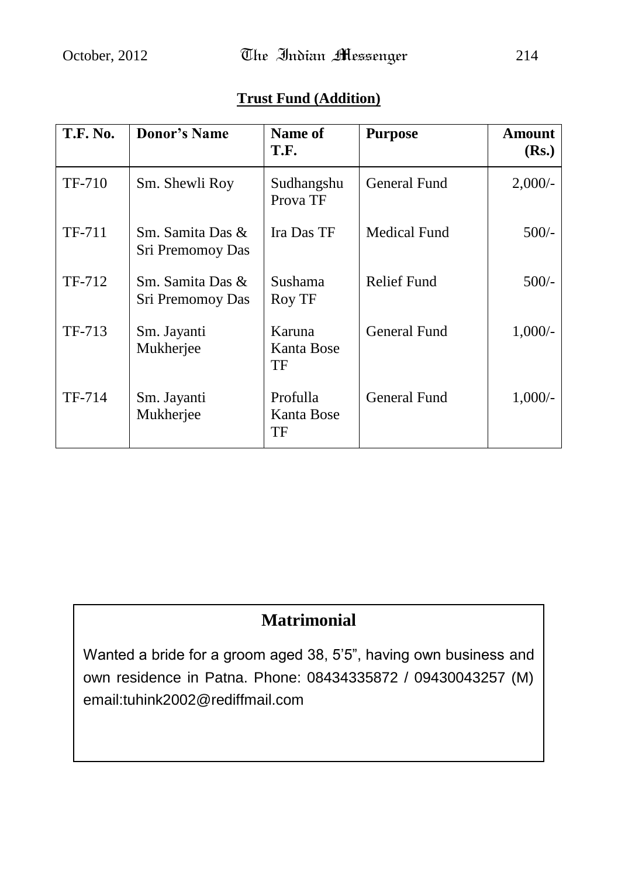| <b>T.F. No.</b> | <b>Donor's Name</b>                  | Name of<br>T.F.              | <b>Purpose</b>      | <b>Amount</b><br>(Rs.) |
|-----------------|--------------------------------------|------------------------------|---------------------|------------------------|
| TF-710          | Sm. Shewli Roy                       | Sudhangshu<br>Prova TF       | <b>General Fund</b> | $2,000/-$              |
| TF-711          | Sm. Samita Das &<br>Sri Premomoy Das | Ira Das TF                   | <b>Medical Fund</b> | $500/-$                |
| TF-712          | Sm. Samita Das &<br>Sri Premomoy Das | Sushama<br>Roy TF            | <b>Relief Fund</b>  | $500/-$                |
| TF-713          | Sm. Jayanti<br>Mukherjee             | Karuna<br>Kanta Bose<br>TF   | <b>General Fund</b> | $1,000/-$              |
| TF-714          | Sm. Jayanti<br>Mukherjee             | Profulla<br>Kanta Bose<br>TF | <b>General Fund</b> | $1,000/-$              |

# **Trust Fund (Addition)**

# **Matrimonial**

Wanted a bride for a groom aged 38, 5'5", having own business and own residence in Patna. Phone: 08434335872 / 09430043257 (M) email:tuhink2002@rediffmail.com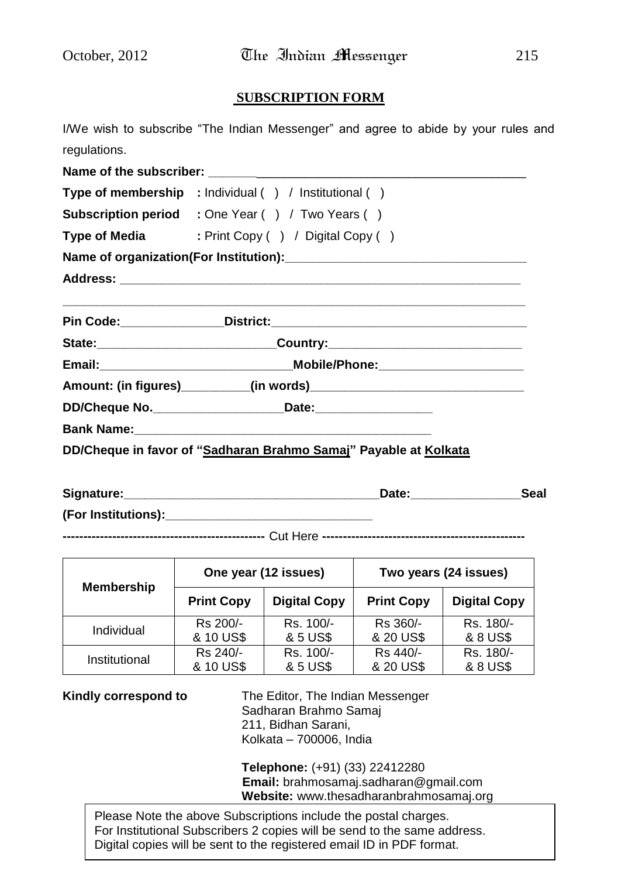#### **SUBSCRIPTION FORM**

I/We wish to subscribe "The Indian Messenger" and agree to abide by your rules and regulations.

| Type of membership : Individual () / Institutional ()                            |
|----------------------------------------------------------------------------------|
| <b>Subscription period</b> : One Year () / Two Years ()                          |
| Type of Media : Print Copy () / Digital Copy ()                                  |
|                                                                                  |
|                                                                                  |
|                                                                                  |
| State:________________________________Country:__________________________________ |
|                                                                                  |
|                                                                                  |
| DD/Cheque No. ______________________________Date:_______________________________ |
|                                                                                  |
| DD/Cheque in favor of "Sadharan Brahmo Samaj" Payable at Kolkata                 |

| Signature:          | eal |
|---------------------|-----|
| (For Institutions): |     |

**-------------------------------------------------** Cut Here **-------------------------------------------------**

| <b>Membership</b> | One year (12 issues) |                     | Two years (24 issues) |                     |
|-------------------|----------------------|---------------------|-----------------------|---------------------|
|                   | <b>Print Copy</b>    | <b>Digital Copy</b> | <b>Print Copy</b>     | <b>Digital Copy</b> |
| Individual        | Rs 200/-             | Rs. 100/-           | Rs 360/-              | Rs. 180/-           |
|                   | & 10 US\$            | & 5 US\$            | & 20 US\$             | & 8 US\$            |
| Institutional     | Rs 240/-             | Rs. 100/-           | Rs 440/-              | Rs. 180/-           |
|                   | & 10 US\$            | & 5 US\$            | & 20 US\$             | & 8 US\$            |

**Kindly correspond to** The Editor, The Indian Messenger Sadharan Brahmo Samaj 211, Bidhan Sarani, Kolkata – 700006, India

> **Telephone:** (+91) (33) 22412280 **Email:** brahmosamaj.sadharan@gmail.com **Website:** www.thesadharanbrahmosamaj.org

Please Note the above Subscriptions include the postal charges. For Institutional Subscribers 2 copies will be send to the same address. Digital copies will be sent to the registered email ID in PDF format.